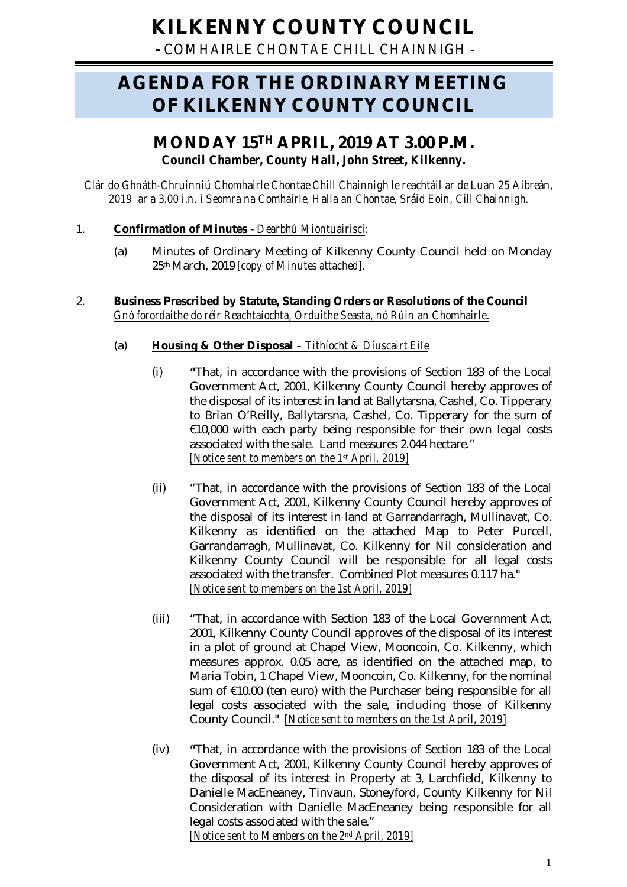# **KILKENNY COUNTY COUNCIL**

**-** *COMHAIRLE CHONTAE CHILL CHAINNIGH -*

## **AGENDA FOR THE ORDINARY MEETING OF KILKENNY COUNTY COUNCIL**

## **MONDAY 15TH APRIL, 2019 AT 3.00 P.M.** *Council Chamber, County Hall, John Street, Kilkenny.*

*Clár do Ghnáth-Chruinniú Chomhairle Chontae Chill Chainnigh le reachtáil ar de Luan 25 Aibreán, 2019 ar a 3.00 i.n. i Seomra na Comhairle, Halla an Chontae, Sráid Eoin, Cill Chainnigh.*

## 1. **Confirmation of Minutes** - *Dearbhú Miontuairiscí:*

(a) Minutes of Ordinary Meeting of Kilkenny County Council held on Monday 25thMarch, 2019 *[copy of Minutes attached].*

### 2. **Business Prescribed by Statute, Standing Orders or Resolutions of the Council** *Gnó forordaithe do réir Reachtaíochta, Orduithe Seasta, nó Rúin an Chomhairle*.

- (a) **Housing & Other Disposal** *– Tithíocht & Díuscairt Eile*
	- (i) **"**That, in accordance with the provisions of Section 183 of the Local Government Act, 2001, Kilkenny County Council hereby approves of the disposal of its interest in land at Ballytarsna, Cashel, Co. Tipperary to Brian O'Reilly, Ballytarsna, Cashel, Co. Tipperary for the sum of €10,000 with each party being responsible for their own legal costs associated with the sale. Land measures 2.044 hectare." *[Notice sent to members on the 1st April, 2019]*
	- (ii) "That, in accordance with the provisions of Section 183 of the Local Government Act, 2001, Kilkenny County Council hereby approves of the disposal of its interest in land at Garrandarragh, Mullinavat, Co. Kilkenny as identified on the attached Map to Peter Purcell, Garrandarragh, Mullinavat, Co. Kilkenny for Nil consideration and Kilkenny County Council will be responsible for all legal costs associated with the transfer. Combined Plot measures 0.117 ha." *[Notice sent to members on the 1st April, 2019]*
	- (iii) "That, in accordance with Section 183 of the Local Government Act, 2001, Kilkenny County Council approves of the disposal of its interest in a plot of ground at Chapel View, Mooncoin, Co. Kilkenny, which measures approx. 0.05 acre, as identified on the attached map, to Maria Tobin, 1 Chapel View, Mooncoin, Co. Kilkenny, for the nominal sum of €10.00 (ten euro) with the Purchaser being responsible for all legal costs associated with the sale, including those of Kilkenny County Council." *[Notice sent to members on the 1st April, 2019]*
	- (iv) **"**That, in accordance with the provisions of Section 183 of the Local Government Act, 2001, Kilkenny County Council hereby approves of the disposal of its interest in Property at 3, Larchfield, Kilkenny to Danielle MacEneaney, Tinvaun, Stoneyford, County Kilkenny for Nil Consideration with Danielle MacEneaney being responsible for all legal costs associated with the sale." *[Notice sent to Members on the 2nd April, 2019]*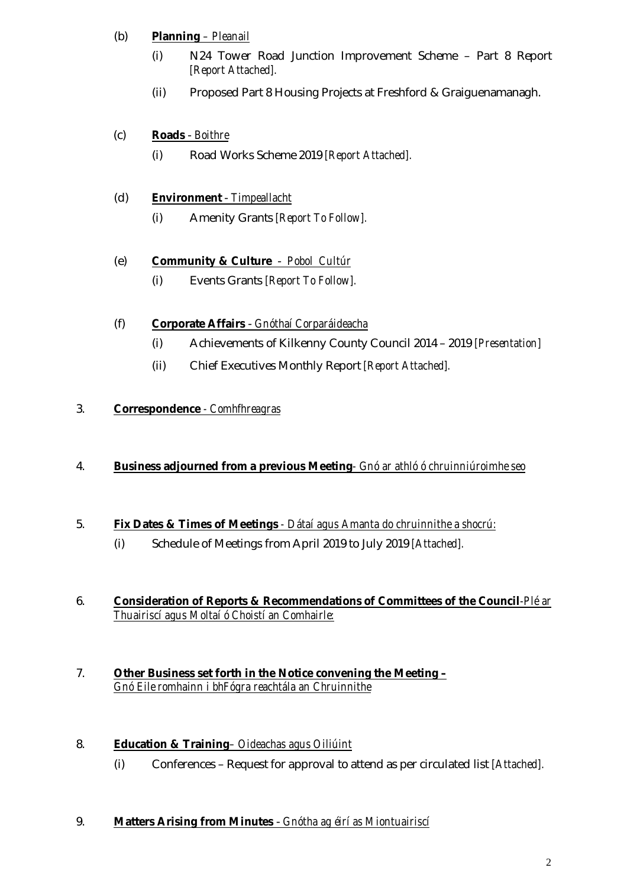## (b) **Planning** *– Pleanail*

- (i) N24 Tower Road Junction Improvement Scheme Part 8 Report *[Report Attached].*
- (ii) Proposed Part 8 Housing Projects at Freshford & Graiguenamanagh.

## (c) **Roads** - *Boithre*

(i) Road Works Scheme 2019 *[Report Attached].*

## (d) **Environment** - *Timpeallacht*

(i) Amenity Grants *[Report To Follow].*

## (e) **Community & Culture** - *Pobol Cultúr*

(i) Events Grants *[Report To Follow].*

## (f) **Corporate Affairs** - *Gnóthaí Corparáideacha*

- (i) Achievements of Kilkenny County Council 2014 2019 *[Presentation]*
- (ii) Chief Executives Monthly Report *[Report Attached].*

## 3. **Correspondence** *- Comhfhreagras*

## 4. **Business adjourned from a previous Meeting***- Gnó ar athló ó chruinniúroimhe seo*

## 5. **Fix Dates & Times of Meetings** *- Dátaí agus Amanta do chruinnithe a shocrú:*

- (i) Schedule of Meetings from April 2019 to July 2019 *[Attached].*
- 6. **Consideration of Reports & Recommendations of Committees of the Council***-Plé ar Thuairiscí agus Moltaí ó Choistí an Comhairle:*
- 7. **Other Business set forth in the Notice convening the Meeting –** *Gnó Eile romhainn i bhFógra reachtála an Chruinnithe*

## 8. **Education & Training***– Oideachas agus Oiliúint*

(i) Conferences – Request for approval to attend as per circulated list *[Attached].*

### 9. **Matters Arising from Minutes** - *Gnótha ag éirí as Miontuairiscí*